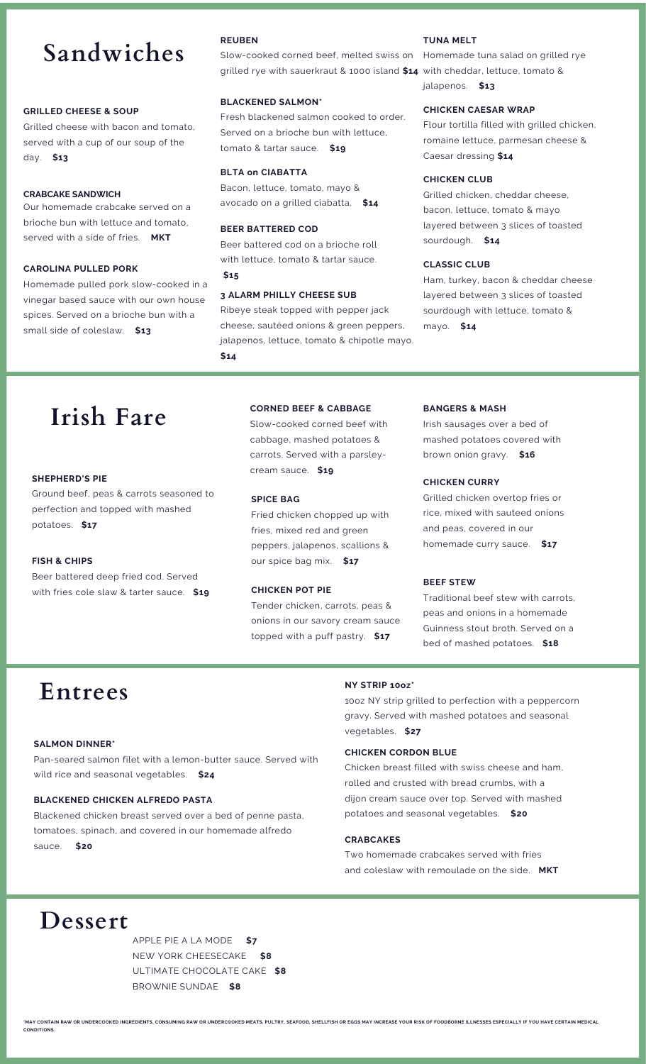# **Sandwiches**

#### **GRILLED CHEESE & SOUP**

Grilled cheese with bacon and tomato, served with a cup of our soup of the day. **\$13**

#### **CRABCAKE SANDWICH**

Our homemade crabcake served on a brioche bun with lettuce and tomato, served with a side of fries. **MKT**

#### **CAROLINA PULLED PORK**

Homemade pulled pork slow-cooked in a vinegar based sauce with our own house spices. Served on a brioche bun with a small side of coleslaw. **\$13**

#### **REUBEN**

Slow-cooked corned beef, melted swiss on Homemade tuna salad on grilled rye grilled rye with sauerkraut & 1000 island **\$14** with cheddar, lettuce, tomato &

#### **BLACKENED SALMON\***

Fresh blackened salmon cooked to order. Served on a brioche bun with lettuce, tomato & tartar sauce. **\$19**

#### **BLTA on CIABATTA**

Bacon, lettuce, tomato, mayo & avocado on a grilled ciabatta. **\$14**

#### **BEER BATTERED COD**

Beer battered cod on a brioche roll with lettuce, tomato & tartar sauce. **\$15**

#### **3 ALARM PHILLY CHEESE SUB**

Ribeye steak topped with pepper jack cheese, sautéed onions & green peppers, jalapenos, lettuce, tomato & chipotle mayo. **\$14**

#### **TUNA MELT**

jalapenos. **\$13**

#### **CHICKEN CAESAR WRAP**

Flour tortilla filled with grilled chicken, romaine lettuce, parmesan cheese & Caesar dressing **\$14**

#### **CHICKEN CLUB**

Grilled chicken, cheddar cheese, bacon, lettuce, tomato & mayo layered between 3 slices of toasted sourdough. **\$14**

#### **CLASSIC CLUB**

Ham, turkey, bacon & cheddar cheese layered between 3 slices of toasted sourdough with lettuce, tomato & mayo. **\$14**

## **Irish Fare**

#### **SHEPHERD'S PIE**

Ground beef, peas & carrots seasoned to perfection and topped with mashed potatoes. **\$17**

#### **FISH & CHIPS**

Beer battered deep fried cod. Served with fries cole slaw & tarter sauce. **\$19**

#### **CORNED BEEF & CABBAGE**

Slow-cooked corned beef with cabbage, mashed potatoes & carrots. Served with a parsleycream sauce. **\$19**

#### **SPICE BAG**

Fried chicken chopped up with fries, mixed red and green peppers, jalapenos, scallions & our spice bag mix. **\$17**

#### **CHICKEN POT PIE**

Tender chicken, carrots, peas & onions in our savory cream sauce topped with a puff pastry. **\$17**

#### **BANGERS & MASH**

Irish sausages over a bed of mashed potatoes covered with brown onion gravy. **\$16**

#### **CHICKEN CURRY**

Grilled chicken overtop fries or rice, mixed with sauteed onions and peas, covered in our homemade curry sauce. **\$17**

#### **BEEF STEW**

Traditional beef stew with carrots, peas and onions in a homemade Guinness stout broth. Served on a bed of mashed potatoes. **\$18**

# **Entrees**

#### **SALMON DINNER\***

Pan-seared salmon filet with a lemon-butter sauce. Served with wild rice and seasonal vegetables. **\$24**

#### **BLACKENED CHICKEN ALFREDO PASTA**

Blackened chicken breast served over a bed of penne pasta, tomatoes, spinach, and covered in our homemade alfredo sauce. **\$20**

#### **NY STRIP 10oz\***

10oz NY strip grilled to perfection with a peppercorn gravy. Served with mashed potatoes and seasonal vegetables. **\$27**

#### **CHICKEN CORDON BLUE**

Chicken breast filled with swiss cheese and ham, rolled and crusted with bread crumbs, with a dijon cream sauce over top. Served with mashed potatoes and seasonal vegetables. **\$20**

#### **CRABCAKES**

Two homemade crabcakes served with fries and coleslaw with remoulade on the side. **MKT**

### **Dessert**

APPLE PIE A LA MODE **\$7** NEW YORK CHEESECAKE **\$8** ULTIMATE CHOCOLATE CAKE **\$8** BROWNIE SUNDAE **\$8**

MAY CONTAIN RAW OR UNDERCOOKED INGREDIENTS. CONSUMING RAW OR UNDERCOOKED MEATS, PULTRY, SEAFOOD, SHELLFISH OR EGGS MAY INCREASE YOUR RISK OF FOODBORNE ILLNESSES ESPECIALLY IF YOU HAVE CERTAIN MEDICAL **CONDITIONS.**